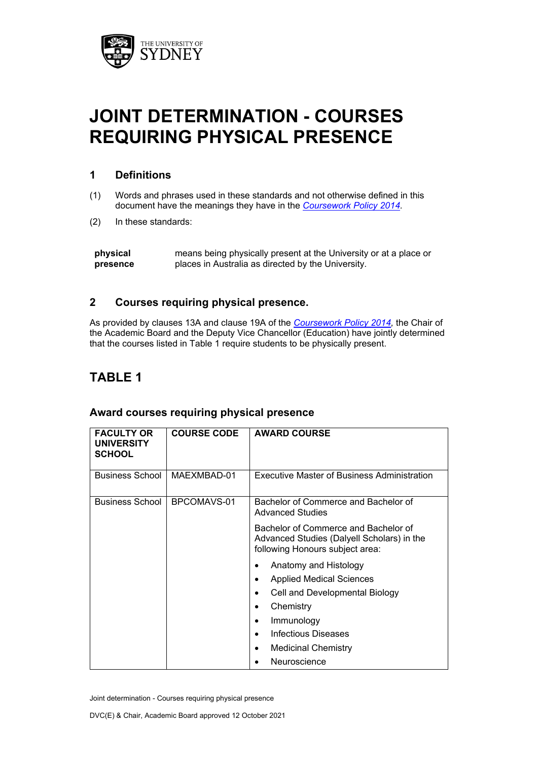

# **JOINT DETERMINATION - COURSES REQUIRING PHYSICAL PRESENCE**

### **1 Definitions**

- (1) Words and phrases used in these standards and not otherwise defined in this document have the meanings they have in the *[Coursework Policy 2014.](http://sydney.edu.au/policies/showdoc.aspx?recnum=PDOC2014/378&RendNum=0)*
- (2) In these standards:

#### **2 Courses requiring physical presence.**

As provided by clauses 13A and clause 19A of the *[Coursework Policy 2014,](https://www.sydney.edu.au/policies/showdoc.aspx?recnum=PDOC2014/378&RendNum=0)* the Chair of the Academic Board and the Deputy Vice Chancellor (Education) have jointly determined that the courses listed in Table 1 require students to be physically present.

## **TABLE 1**

| <b>FACULTY OR</b><br><b>UNIVERSITY</b><br><b>SCHOOL</b> | <b>COURSE CODE</b> | <b>AWARD COURSE</b>                                                                                                   |
|---------------------------------------------------------|--------------------|-----------------------------------------------------------------------------------------------------------------------|
| <b>Business School</b>                                  | MAEXMBAD-01        | Executive Master of Business Administration                                                                           |
| <b>Business School</b>                                  | BPCOMAVS-01        | Bachelor of Commerce and Bachelor of<br><b>Advanced Studies</b>                                                       |
|                                                         |                    | Bachelor of Commerce and Bachelor of<br>Advanced Studies (Dalyell Scholars) in the<br>following Honours subject area: |
|                                                         |                    | Anatomy and Histology                                                                                                 |
|                                                         |                    | <b>Applied Medical Sciences</b>                                                                                       |
|                                                         |                    | Cell and Developmental Biology                                                                                        |
|                                                         |                    | Chemistry                                                                                                             |
|                                                         |                    | Immunology                                                                                                            |
|                                                         |                    | Infectious Diseases                                                                                                   |
|                                                         |                    | <b>Medicinal Chemistry</b>                                                                                            |
|                                                         |                    | Neuroscience                                                                                                          |

#### **Award courses requiring physical presence**

**physical presence** means being physically present at the University or at a place or places in Australia as directed by the University.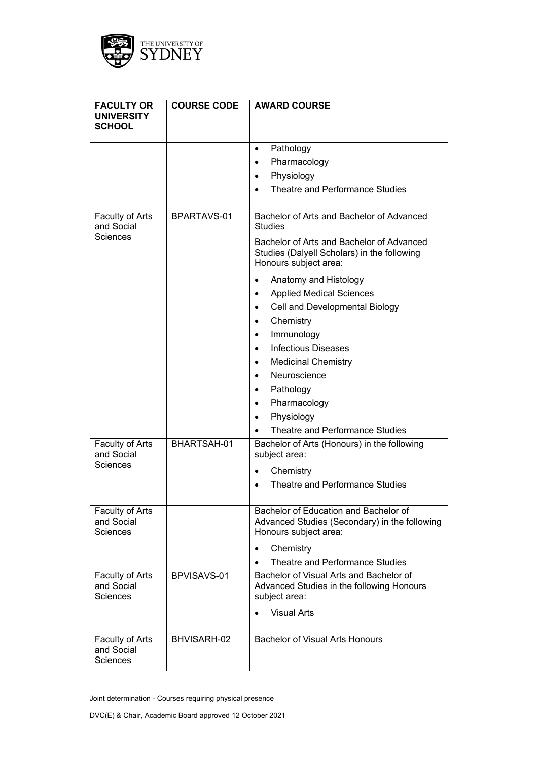

| <b>FACULTY OR</b><br><b>UNIVERSITY</b><br><b>SCHOOL</b> | <b>COURSE CODE</b> | <b>AWARD COURSE</b>                                                                                               |
|---------------------------------------------------------|--------------------|-------------------------------------------------------------------------------------------------------------------|
|                                                         |                    | Pathology<br>$\bullet$                                                                                            |
|                                                         |                    | Pharmacology<br>$\bullet$                                                                                         |
|                                                         |                    | Physiology<br>٠                                                                                                   |
|                                                         |                    | Theatre and Performance Studies                                                                                   |
| Faculty of Arts<br>and Social                           | BPARTAVS-01        | Bachelor of Arts and Bachelor of Advanced<br><b>Studies</b>                                                       |
| Sciences                                                |                    | Bachelor of Arts and Bachelor of Advanced<br>Studies (Dalyell Scholars) in the following<br>Honours subject area: |
|                                                         |                    | Anatomy and Histology                                                                                             |
|                                                         |                    | <b>Applied Medical Sciences</b>                                                                                   |
|                                                         |                    | Cell and Developmental Biology<br>$\bullet$                                                                       |
|                                                         |                    | Chemistry                                                                                                         |
|                                                         |                    | Immunology<br>$\bullet$                                                                                           |
|                                                         |                    | <b>Infectious Diseases</b>                                                                                        |
|                                                         |                    | <b>Medicinal Chemistry</b><br>$\bullet$                                                                           |
|                                                         |                    | Neuroscience                                                                                                      |
|                                                         |                    | Pathology<br>$\bullet$                                                                                            |
|                                                         |                    | Pharmacology<br>$\bullet$                                                                                         |
|                                                         |                    | Physiology                                                                                                        |
|                                                         |                    | Theatre and Performance Studies                                                                                   |
| Faculty of Arts<br>and Social                           | BHARTSAH-01        | Bachelor of Arts (Honours) in the following<br>subject area:                                                      |
| <b>Sciences</b>                                         |                    | Chemistry                                                                                                         |
|                                                         |                    | Theatre and Performance Studies                                                                                   |
| Faculty of Arts<br>and Social<br><b>Sciences</b>        |                    | Bachelor of Education and Bachelor of<br>Advanced Studies (Secondary) in the following<br>Honours subject area:   |
|                                                         |                    | Chemistry                                                                                                         |
|                                                         |                    | Theatre and Performance Studies                                                                                   |
| Faculty of Arts<br>and Social<br>Sciences               | BPVISAVS-01        | Bachelor of Visual Arts and Bachelor of<br>Advanced Studies in the following Honours<br>subject area:             |
|                                                         |                    | <b>Visual Arts</b>                                                                                                |
| Faculty of Arts<br>and Social<br>Sciences               | BHVISARH-02        | <b>Bachelor of Visual Arts Honours</b>                                                                            |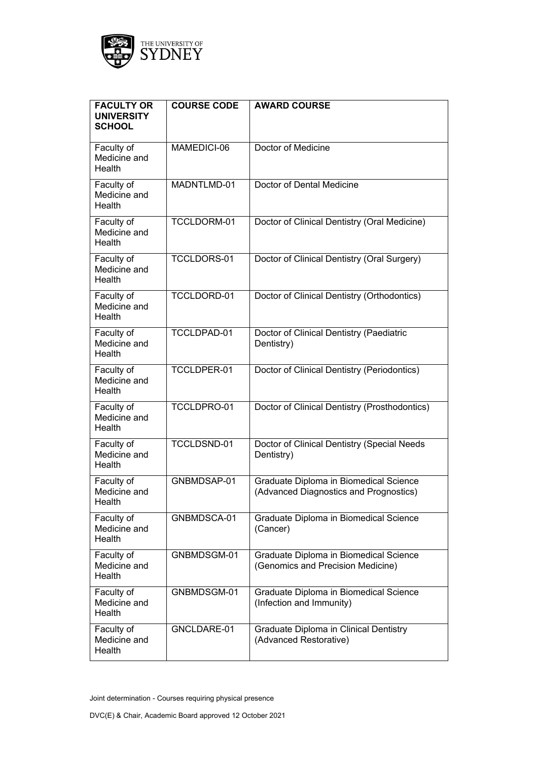

| <b>FACULTY OR</b><br><b>UNIVERSITY</b><br><b>SCHOOL</b> | <b>COURSE CODE</b> | <b>AWARD COURSE</b>                                                              |
|---------------------------------------------------------|--------------------|----------------------------------------------------------------------------------|
| Faculty of<br>Medicine and<br>Health                    | MAMEDICI-06        | Doctor of Medicine                                                               |
| Faculty of<br>Medicine and<br>Health                    | MADNTLMD-01        | Doctor of Dental Medicine                                                        |
| Faculty of<br>Medicine and<br>Health                    | TCCLDORM-01        | Doctor of Clinical Dentistry (Oral Medicine)                                     |
| Faculty of<br>Medicine and<br>Health                    | TCCLDORS-01        | Doctor of Clinical Dentistry (Oral Surgery)                                      |
| Faculty of<br>Medicine and<br>Health                    | TCCLDORD-01        | Doctor of Clinical Dentistry (Orthodontics)                                      |
| Faculty of<br>Medicine and<br>Health                    | TCCLDPAD-01        | Doctor of Clinical Dentistry (Paediatric<br>Dentistry)                           |
| Faculty of<br>Medicine and<br>Health                    | TCCLDPER-01        | Doctor of Clinical Dentistry (Periodontics)                                      |
| Faculty of<br>Medicine and<br>Health                    | TCCLDPRO-01        | Doctor of Clinical Dentistry (Prosthodontics)                                    |
| Faculty of<br>Medicine and<br>Health                    | TCCLDSND-01        | Doctor of Clinical Dentistry (Special Needs<br>Dentistry)                        |
| Faculty of<br>Medicine and<br>Health                    | GNBMDSAP-01        | Graduate Diploma in Biomedical Science<br>(Advanced Diagnostics and Prognostics) |
| Faculty of<br>Medicine and<br>Health                    | GNBMDSCA-01        | Graduate Diploma in Biomedical Science<br>(Cancer)                               |
| Faculty of<br>Medicine and<br>Health                    | GNBMDSGM-01        | Graduate Diploma in Biomedical Science<br>(Genomics and Precision Medicine)      |
| Faculty of<br>Medicine and<br>Health                    | GNBMDSGM-01        | Graduate Diploma in Biomedical Science<br>(Infection and Immunity)               |
| Faculty of<br>Medicine and<br>Health                    | GNCLDARE-01        | Graduate Diploma in Clinical Dentistry<br>(Advanced Restorative)                 |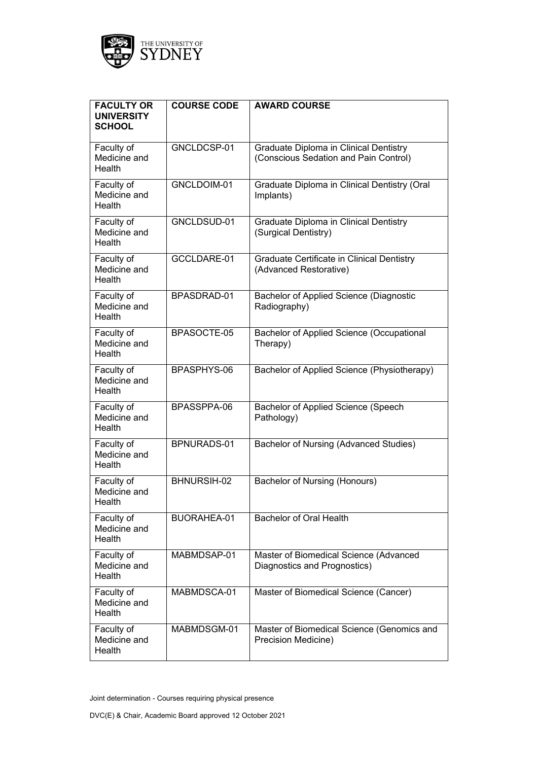

| <b>FACULTY OR</b><br><b>UNIVERSITY</b><br><b>SCHOOL</b> | <b>COURSE CODE</b> | <b>AWARD COURSE</b>                                                             |
|---------------------------------------------------------|--------------------|---------------------------------------------------------------------------------|
| Faculty of<br>Medicine and<br>Health                    | GNCLDCSP-01        | Graduate Diploma in Clinical Dentistry<br>(Conscious Sedation and Pain Control) |
| Faculty of<br>Medicine and<br>Health                    | GNCLDOIM-01        | Graduate Diploma in Clinical Dentistry (Oral<br>Implants)                       |
| Faculty of<br>Medicine and<br>Health                    | GNCLDSUD-01        | Graduate Diploma in Clinical Dentistry<br>(Surgical Dentistry)                  |
| Faculty of<br>Medicine and<br>Health                    | GCCLDARE-01        | Graduate Certificate in Clinical Dentistry<br>(Advanced Restorative)            |
| Faculty of<br>Medicine and<br>Health                    | BPASDRAD-01        | Bachelor of Applied Science (Diagnostic<br>Radiography)                         |
| Faculty of<br>Medicine and<br>Health                    | BPASOCTE-05        | Bachelor of Applied Science (Occupational<br>Therapy)                           |
| Faculty of<br>Medicine and<br>Health                    | BPASPHYS-06        | Bachelor of Applied Science (Physiotherapy)                                     |
| Faculty of<br>Medicine and<br>Health                    | BPASSPPA-06        | Bachelor of Applied Science (Speech<br>Pathology)                               |
| Faculty of<br>Medicine and<br>Health                    | BPNURADS-01        | Bachelor of Nursing (Advanced Studies)                                          |
| Faculty of<br>Medicine and<br>Health                    | BHNURSIH-02        | Bachelor of Nursing (Honours)                                                   |
| Faculty of<br>Medicine and<br>Health                    | BUORAHEA-01        | <b>Bachelor of Oral Health</b>                                                  |
| Faculty of<br>Medicine and<br>Health                    | MABMDSAP-01        | Master of Biomedical Science (Advanced<br>Diagnostics and Prognostics)          |
| Faculty of<br>Medicine and<br>Health                    | MABMDSCA-01        | Master of Biomedical Science (Cancer)                                           |
| Faculty of<br>Medicine and<br>Health                    | MABMDSGM-01        | Master of Biomedical Science (Genomics and<br>Precision Medicine)               |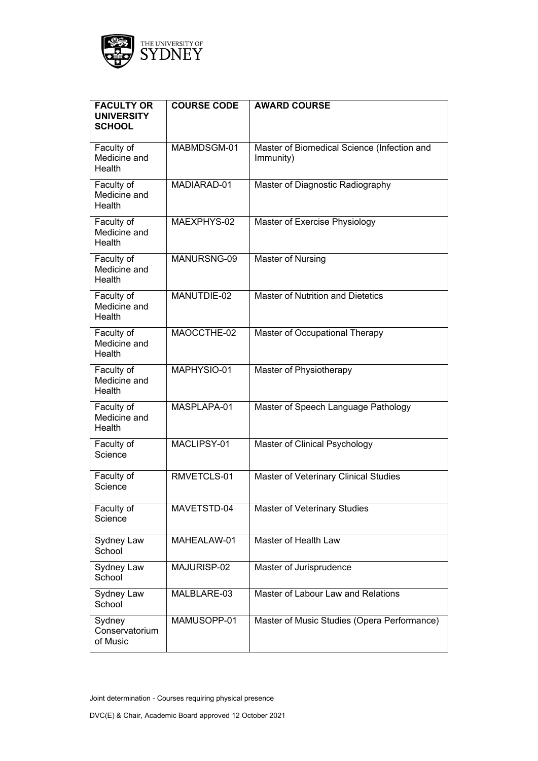

| <b>FACULTY OR</b><br><b>UNIVERSITY</b><br><b>SCHOOL</b> | <b>COURSE CODE</b> | <b>AWARD COURSE</b>                                      |
|---------------------------------------------------------|--------------------|----------------------------------------------------------|
| Faculty of<br>Medicine and<br>Health                    | MABMDSGM-01        | Master of Biomedical Science (Infection and<br>Immunity) |
| Faculty of<br>Medicine and<br>Health                    | MADIARAD-01        | Master of Diagnostic Radiography                         |
| Faculty of<br>Medicine and<br>Health                    | MAEXPHYS-02        | Master of Exercise Physiology                            |
| Faculty of<br>Medicine and<br>Health                    | MANURSNG-09        | Master of Nursing                                        |
| Faculty of<br>Medicine and<br>Health                    | MANUTDIE-02        | <b>Master of Nutrition and Dietetics</b>                 |
| Faculty of<br>Medicine and<br>Health                    | MAOCCTHE-02        | Master of Occupational Therapy                           |
| Faculty of<br>Medicine and<br>Health                    | MAPHYSIO-01        | Master of Physiotherapy                                  |
| Faculty of<br>Medicine and<br><b>Health</b>             | MASPLAPA-01        | Master of Speech Language Pathology                      |
| Faculty of<br>Science                                   | MACLIPSY-01        | Master of Clinical Psychology                            |
| Faculty of<br>Science                                   | RMVETCLS-01        | Master of Veterinary Clinical Studies                    |
| Faculty of<br>Science                                   | MAVETSTD-04        | Master of Veterinary Studies                             |
| Sydney Law<br>School                                    | MAHEALAW-01        | Master of Health Law                                     |
| Sydney Law<br>School                                    | MAJURISP-02        | Master of Jurisprudence                                  |
| Sydney Law<br>School                                    | MALBLARE-03        | Master of Labour Law and Relations                       |
| Sydney<br>Conservatorium<br>of Music                    | MAMUSOPP-01        | Master of Music Studies (Opera Performance)              |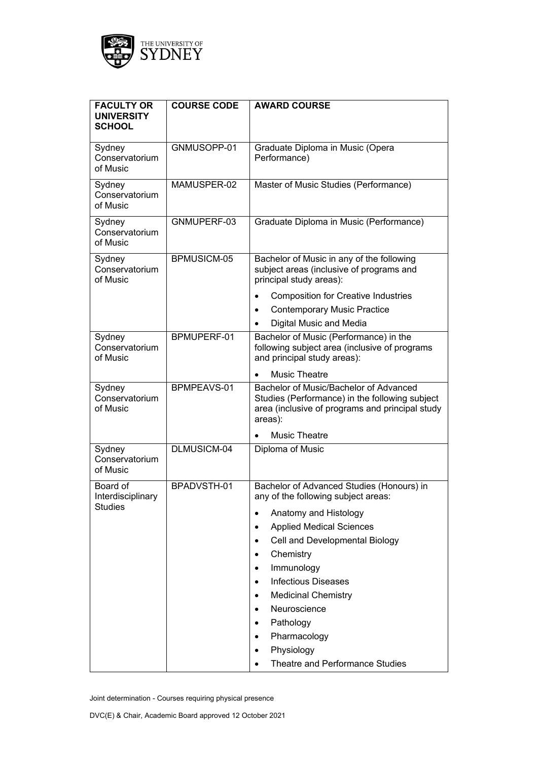

| <b>FACULTY OR</b><br><b>UNIVERSITY</b><br><b>SCHOOL</b> | <b>COURSE CODE</b> | <b>AWARD COURSE</b>                                                                                                                                    |
|---------------------------------------------------------|--------------------|--------------------------------------------------------------------------------------------------------------------------------------------------------|
| Sydney<br>Conservatorium<br>of Music                    | GNMUSOPP-01        | Graduate Diploma in Music (Opera<br>Performance)                                                                                                       |
| Sydney<br>Conservatorium<br>of Music                    | MAMUSPER-02        | Master of Music Studies (Performance)                                                                                                                  |
| Sydney<br>Conservatorium<br>of Music                    | GNMUPERF-03        | Graduate Diploma in Music (Performance)                                                                                                                |
| Sydney<br>Conservatorium<br>of Music                    | BPMUSICM-05        | Bachelor of Music in any of the following<br>subject areas (inclusive of programs and<br>principal study areas):                                       |
|                                                         |                    | <b>Composition for Creative Industries</b><br><b>Contemporary Music Practice</b>                                                                       |
|                                                         |                    | Digital Music and Media                                                                                                                                |
| Sydney<br>Conservatorium<br>of Music                    | BPMUPERF-01        | Bachelor of Music (Performance) in the<br>following subject area (inclusive of programs<br>and principal study areas):                                 |
|                                                         |                    | <b>Music Theatre</b>                                                                                                                                   |
| Sydney<br>Conservatorium<br>of Music                    | BPMPEAVS-01        | Bachelor of Music/Bachelor of Advanced<br>Studies (Performance) in the following subject<br>area (inclusive of programs and principal study<br>areas): |
|                                                         |                    | <b>Music Theatre</b>                                                                                                                                   |
| Sydney<br>Conservatorium<br>of Music                    | DLMUSICM-04        | Diploma of Music                                                                                                                                       |
| Board of<br>Interdisciplinary                           | BPADVSTH-01        | Bachelor of Advanced Studies (Honours) in<br>any of the following subject areas:                                                                       |
| Studies                                                 |                    | Anatomy and Histology                                                                                                                                  |
|                                                         |                    | <b>Applied Medical Sciences</b><br>$\bullet$                                                                                                           |
|                                                         |                    | Cell and Developmental Biology<br>٠                                                                                                                    |
|                                                         |                    | Chemistry                                                                                                                                              |
|                                                         |                    | Immunology<br>٠                                                                                                                                        |
|                                                         |                    | <b>Infectious Diseases</b>                                                                                                                             |
|                                                         |                    | <b>Medicinal Chemistry</b><br>٠                                                                                                                        |
|                                                         |                    | Neuroscience                                                                                                                                           |
|                                                         |                    | Pathology                                                                                                                                              |
|                                                         |                    | Pharmacology                                                                                                                                           |
|                                                         |                    | Physiology<br>٠                                                                                                                                        |
|                                                         |                    | Theatre and Performance Studies                                                                                                                        |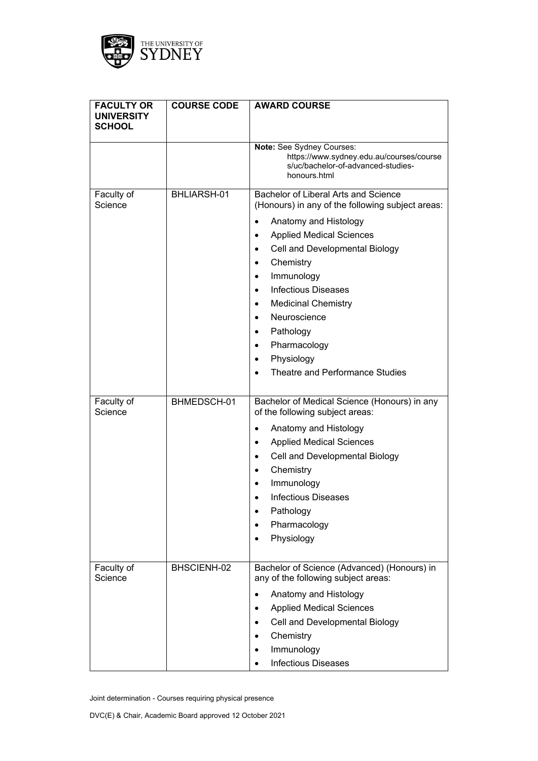

| <b>FACULTY OR</b><br><b>UNIVERSITY</b><br><b>SCHOOL</b> | <b>COURSE CODE</b> | <b>AWARD COURSE</b>                                                                                                                                                                                                                                                                                                                                                                                                     |
|---------------------------------------------------------|--------------------|-------------------------------------------------------------------------------------------------------------------------------------------------------------------------------------------------------------------------------------------------------------------------------------------------------------------------------------------------------------------------------------------------------------------------|
|                                                         |                    | Note: See Sydney Courses:<br>https://www.sydney.edu.au/courses/course<br>s/uc/bachelor-of-advanced-studies-<br>honours.html                                                                                                                                                                                                                                                                                             |
| Faculty of<br>Science                                   | BHLIARSH-01        | Bachelor of Liberal Arts and Science<br>(Honours) in any of the following subject areas:<br>Anatomy and Histology<br><b>Applied Medical Sciences</b><br>$\bullet$<br>Cell and Developmental Biology<br>Chemistry<br>٠<br>Immunology<br><b>Infectious Diseases</b><br><b>Medicinal Chemistry</b><br>Neuroscience<br>$\bullet$<br>Pathology<br>Pharmacology<br>$\bullet$<br>Physiology<br>Theatre and Performance Studies |
| Faculty of<br>Science                                   | BHMEDSCH-01        | Bachelor of Medical Science (Honours) in any<br>of the following subject areas:<br>Anatomy and Histology<br><b>Applied Medical Sciences</b><br>٠<br>Cell and Developmental Biology<br>$\bullet$<br>Chemistry<br>٠<br>Immunology<br><b>Infectious Diseases</b><br>Pathology<br>Pharmacology<br>Physiology                                                                                                                |
| Faculty of<br>Science                                   | BHSCIENH-02        | Bachelor of Science (Advanced) (Honours) in<br>any of the following subject areas:<br>Anatomy and Histology<br>$\bullet$<br><b>Applied Medical Sciences</b><br>Cell and Developmental Biology<br>Chemistry<br>Immunology<br><b>Infectious Diseases</b>                                                                                                                                                                  |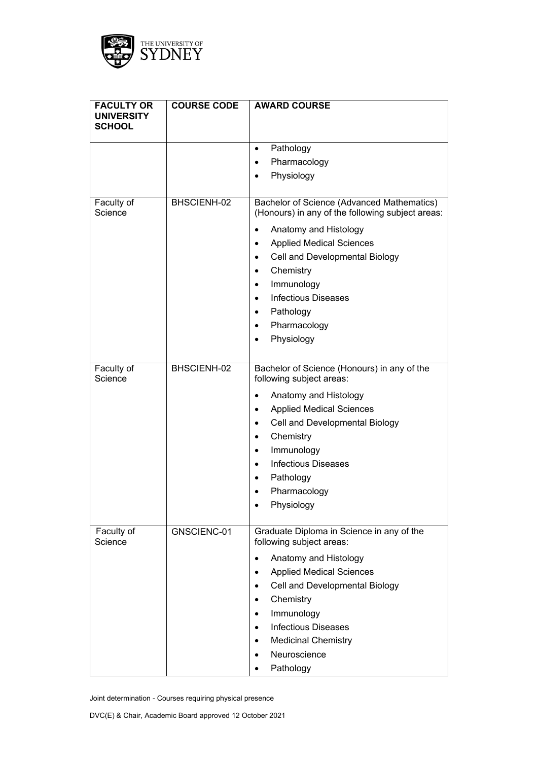

| <b>FACULTY OR</b><br><b>UNIVERSITY</b><br><b>SCHOOL</b> | <b>COURSE CODE</b> | <b>AWARD COURSE</b>                                                                            |
|---------------------------------------------------------|--------------------|------------------------------------------------------------------------------------------------|
|                                                         |                    | Pathology<br>$\bullet$                                                                         |
|                                                         |                    | Pharmacology<br>$\bullet$                                                                      |
|                                                         |                    | Physiology                                                                                     |
|                                                         |                    |                                                                                                |
| Faculty of<br>Science                                   | BHSCIENH-02        | Bachelor of Science (Advanced Mathematics)<br>(Honours) in any of the following subject areas: |
|                                                         |                    | Anatomy and Histology                                                                          |
|                                                         |                    | <b>Applied Medical Sciences</b><br>٠                                                           |
|                                                         |                    | Cell and Developmental Biology<br>$\bullet$                                                    |
|                                                         |                    | Chemistry<br>$\bullet$                                                                         |
|                                                         |                    | Immunology<br>٠                                                                                |
|                                                         |                    | <b>Infectious Diseases</b>                                                                     |
|                                                         |                    | Pathology<br>$\bullet$                                                                         |
|                                                         |                    | Pharmacology                                                                                   |
|                                                         |                    | Physiology                                                                                     |
|                                                         |                    |                                                                                                |
| Faculty of<br>Science                                   | BHSCIENH-02        | Bachelor of Science (Honours) in any of the<br>following subject areas:                        |
|                                                         |                    | Anatomy and Histology                                                                          |
|                                                         |                    | <b>Applied Medical Sciences</b><br>$\bullet$                                                   |
|                                                         |                    | Cell and Developmental Biology<br>٠                                                            |
|                                                         |                    | Chemistry<br>$\bullet$                                                                         |
|                                                         |                    | Immunology                                                                                     |
|                                                         |                    | <b>Infectious Diseases</b><br>$\bullet$                                                        |
|                                                         |                    | Pathology                                                                                      |
|                                                         |                    | Pharmacology<br>$\bullet$                                                                      |
|                                                         |                    | Physiology                                                                                     |
|                                                         |                    |                                                                                                |
| Faculty of<br>Science                                   | GNSCIENC-01        | Graduate Diploma in Science in any of the<br>following subject areas:                          |
|                                                         |                    | Anatomy and Histology<br>٠                                                                     |
|                                                         |                    | <b>Applied Medical Sciences</b><br>$\bullet$                                                   |
|                                                         |                    | Cell and Developmental Biology                                                                 |
|                                                         |                    | Chemistry<br>$\bullet$                                                                         |
|                                                         |                    | Immunology<br>$\bullet$                                                                        |
|                                                         |                    | <b>Infectious Diseases</b><br>$\bullet$                                                        |
|                                                         |                    | <b>Medicinal Chemistry</b><br>٠                                                                |
|                                                         |                    | Neuroscience<br>$\bullet$                                                                      |
|                                                         |                    | Pathology                                                                                      |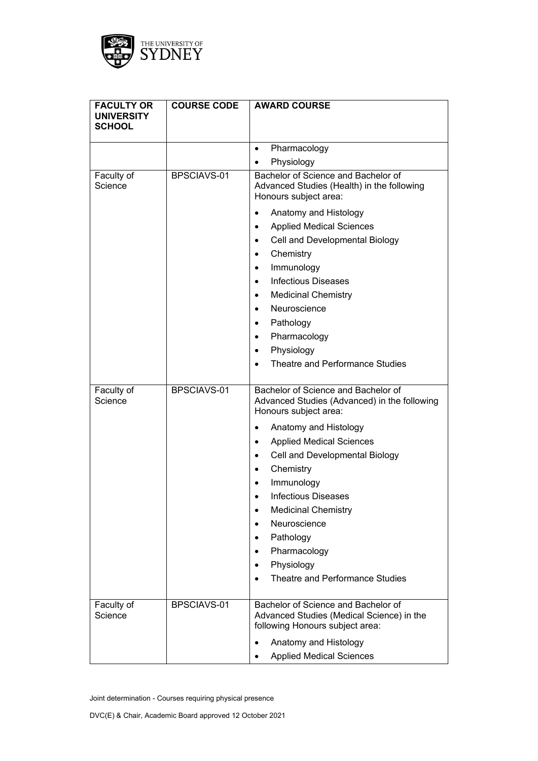

| <b>FACULTY OR</b><br><b>UNIVERSITY</b> | <b>COURSE CODE</b> | <b>AWARD COURSE</b>                                                                                                 |
|----------------------------------------|--------------------|---------------------------------------------------------------------------------------------------------------------|
| <b>SCHOOL</b>                          |                    |                                                                                                                     |
|                                        |                    | Pharmacology<br>$\bullet$                                                                                           |
|                                        |                    | Physiology                                                                                                          |
| Faculty of<br>Science                  | BPSCIAVS-01        | Bachelor of Science and Bachelor of<br>Advanced Studies (Health) in the following<br>Honours subject area:          |
|                                        |                    | Anatomy and Histology                                                                                               |
|                                        |                    | <b>Applied Medical Sciences</b><br>$\bullet$                                                                        |
|                                        |                    | Cell and Developmental Biology<br>$\bullet$                                                                         |
|                                        |                    | Chemistry<br>$\bullet$                                                                                              |
|                                        |                    | Immunology<br>$\bullet$                                                                                             |
|                                        |                    | <b>Infectious Diseases</b><br>$\bullet$                                                                             |
|                                        |                    | <b>Medicinal Chemistry</b><br>$\bullet$                                                                             |
|                                        |                    | Neuroscience<br>$\bullet$                                                                                           |
|                                        |                    | Pathology<br>$\bullet$                                                                                              |
|                                        |                    | Pharmacology<br>$\bullet$                                                                                           |
|                                        |                    | Physiology<br>٠                                                                                                     |
|                                        |                    | Theatre and Performance Studies                                                                                     |
| Faculty of<br>Science                  | BPSCIAVS-01        | Bachelor of Science and Bachelor of<br>Advanced Studies (Advanced) in the following<br>Honours subject area:        |
|                                        |                    | Anatomy and Histology<br>$\bullet$                                                                                  |
|                                        |                    | <b>Applied Medical Sciences</b><br>$\bullet$                                                                        |
|                                        |                    | Cell and Developmental Biology<br>$\bullet$                                                                         |
|                                        |                    | Chemistry<br>$\bullet$                                                                                              |
|                                        |                    | Immunology<br>$\bullet$                                                                                             |
|                                        |                    | <b>Infectious Diseases</b><br>$\bullet$                                                                             |
|                                        |                    | <b>Medicinal Chemistry</b><br>$\bullet$                                                                             |
|                                        |                    | Neuroscience                                                                                                        |
|                                        |                    | Pathology                                                                                                           |
|                                        |                    | Pharmacology<br>$\bullet$                                                                                           |
|                                        |                    | Physiology                                                                                                          |
|                                        |                    | Theatre and Performance Studies<br>$\bullet$                                                                        |
| Faculty of<br>Science                  | BPSCIAVS-01        | Bachelor of Science and Bachelor of<br>Advanced Studies (Medical Science) in the<br>following Honours subject area: |
|                                        |                    | Anatomy and Histology                                                                                               |
|                                        |                    | <b>Applied Medical Sciences</b>                                                                                     |